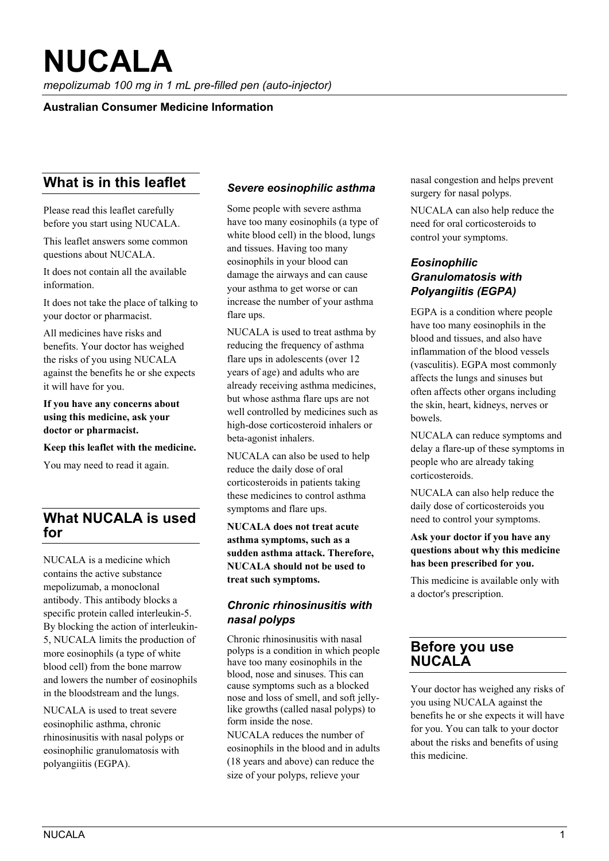*mepolizumab 100 mg in 1 mL pre-filled pen (auto-injector)* 

## **Australian Consumer Medicine Information**

# **What is in this leaflet**

Please read this leaflet carefully before you start using NUCALA.

This leaflet answers some common questions about NUCALA.

It does not contain all the available information.

It does not take the place of talking to your doctor or pharmacist.

All medicines have risks and benefits. Your doctor has weighed the risks of you using NUCALA against the benefits he or she expects it will have for you.

**If you have any concerns about using this medicine, ask your doctor or pharmacist.** 

**Keep this leaflet with the medicine.** 

You may need to read it again.

# **What NUCALA is used for**

NUCALA is a medicine which contains the active substance mepolizumab, a monoclonal antibody. This antibody blocks a specific protein called interleukin-5. By blocking the action of interleukin-5, NUCALA limits the production of more eosinophils (a type of white blood cell) from the bone marrow and lowers the number of eosinophils in the bloodstream and the lungs.

NUCALA is used to treat severe eosinophilic asthma, chronic rhinosinusitis with nasal polyps or eosinophilic granulomatosis with polyangiitis (EGPA).

## *Severe eosinophilic asthma*

Some people with severe asthma have too many eosinophils (a type of white blood cell) in the blood, lungs and tissues. Having too many eosinophils in your blood can damage the airways and can cause your asthma to get worse or can increase the number of your asthma flare ups.

NUCALA is used to treat asthma by reducing the frequency of asthma flare ups in adolescents (over 12 years of age) and adults who are already receiving asthma medicines, but whose asthma flare ups are not well controlled by medicines such as high-dose corticosteroid inhalers or beta-agonist inhalers.

NUCALA can also be used to help reduce the daily dose of oral corticosteroids in patients taking these medicines to control asthma symptoms and flare ups.

**NUCALA does not treat acute asthma symptoms, such as a sudden asthma attack. Therefore, NUCALA should not be used to treat such symptoms.** 

# *Chronic rhinosinusitis with nasal polyps*

Chronic rhinosinusitis with nasal polyps is a condition in which people have too many eosinophils in the blood, nose and sinuses. This can cause symptoms such as a blocked nose and loss of smell, and soft jellylike growths (called nasal polyps) to form inside the nose.

NUCALA reduces the number of eosinophils in the blood and in adults (18 years and above) can reduce the size of your polyps, relieve your

nasal congestion and helps prevent surgery for nasal polyps.

NUCALA can also help reduce the need for oral corticosteroids to control your symptoms.

# *Eosinophilic Granulomatosis with Polyangiitis (EGPA)*

EGPA is a condition where people have too many eosinophils in the blood and tissues, and also have inflammation of the blood vessels (vasculitis). EGPA most commonly affects the lungs and sinuses but often affects other organs including the skin, heart, kidneys, nerves or bowels.

NUCALA can reduce symptoms and delay a flare-up of these symptoms in people who are already taking corticosteroids.

NUCALA can also help reduce the daily dose of corticosteroids you need to control your symptoms.

#### **Ask your doctor if you have any questions about why this medicine has been prescribed for you.**

This medicine is available only with a doctor's prescription.

# **Before you use NUCALA**

Your doctor has weighed any risks of you using NUCALA against the benefits he or she expects it will have for you. You can talk to your doctor about the risks and benefits of using this medicine.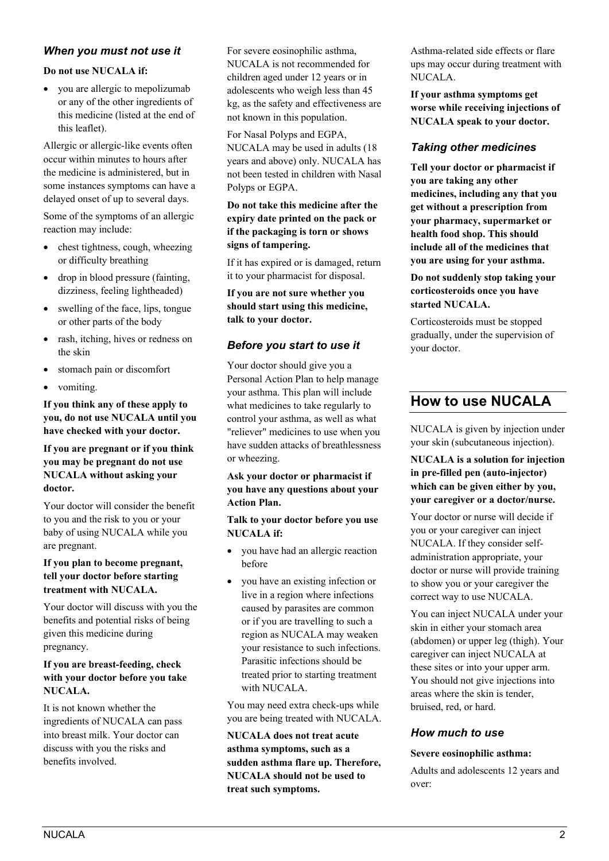## *When you must not use it*

#### **Do not use NUCALA if:**

• you are allergic to mepolizumab or any of the other ingredients of this medicine (listed at the end of this leaflet).

Allergic or allergic-like events often occur within minutes to hours after the medicine is administered, but in some instances symptoms can have a delayed onset of up to several days.

Some of the symptoms of an allergic reaction may include:

- chest tightness, cough, wheezing or difficulty breathing
- drop in blood pressure (fainting, dizziness, feeling lightheaded)
- swelling of the face, lips, tongue or other parts of the body
- rash, itching, hives or redness on the skin
- stomach pain or discomfort
- vomiting.

**If you think any of these apply to you, do not use NUCALA until you have checked with your doctor.**

### **If you are pregnant or if you think you may be pregnant do not use NUCALA without asking your doctor.**

Your doctor will consider the benefit to you and the risk to you or your baby of using NUCALA while you are pregnant.

### **If you plan to become pregnant, tell your doctor before starting treatment with NUCALA.**

Your doctor will discuss with you the benefits and potential risks of being given this medicine during pregnancy.

#### **If you are breast-feeding, check with your doctor before you take NUCALA.**

It is not known whether the ingredients of NUCALA can pass into breast milk. Your doctor can discuss with you the risks and benefits involved.

For severe eosinophilic asthma, NUCALA is not recommended for children aged under 12 years or in adolescents who weigh less than 45 kg, as the safety and effectiveness are not known in this population.

For Nasal Polyps and EGPA, NUCALA may be used in adults (18 years and above) only. NUCALA has not been tested in children with Nasal Polyps or EGPA.

#### **Do not take this medicine after the expiry date printed on the pack or if the packaging is torn or shows signs of tampering.**

If it has expired or is damaged, return it to your pharmacist for disposal.

**If you are not sure whether you should start using this medicine, talk to your doctor.**

# *Before you start to use it*

Your doctor should give you a Personal Action Plan to help manage your asthma. This plan will include what medicines to take regularly to control your asthma, as well as what "reliever" medicines to use when you have sudden attacks of breathlessness or wheezing.

### **Ask your doctor or pharmacist if you have any questions about your Action Plan.**

**Talk to your doctor before you use NUCALA if:**

- you have had an allergic reaction before
- you have an existing infection or live in a region where infections caused by parasites are common or if you are travelling to such a region as NUCALA may weaken your resistance to such infections. Parasitic infections should be treated prior to starting treatment with NUCALA.

You may need extra check-ups while you are being treated with NUCALA.

**NUCALA does not treat acute asthma symptoms, such as a sudden asthma flare up. Therefore, NUCALA should not be used to treat such symptoms.**

Asthma-related side effects or flare ups may occur during treatment with NUCALA.

**If your asthma symptoms get worse while receiving injections of NUCALA speak to your doctor.**

## *Taking other medicines*

**Tell your doctor or pharmacist if you are taking any other medicines, including any that you get without a prescription from your pharmacy, supermarket or health food shop. This should include all of the medicines that you are using for your asthma.**

**Do not suddenly stop taking your corticosteroids once you have started NUCALA.** 

Corticosteroids must be stopped gradually, under the supervision of your doctor.

# **How to use NUCALA**

NUCALA is given by injection under your skin (subcutaneous injection).

**NUCALA is a solution for injection in pre-filled pen (auto-injector) which can be given either by you, your caregiver or a doctor/nurse.**

Your doctor or nurse will decide if you or your caregiver can inject NUCALA. If they consider selfadministration appropriate, your doctor or nurse will provide training to show you or your caregiver the correct way to use NUCALA.

You can inject NUCALA under your skin in either your stomach area (abdomen) or upper leg (thigh). Your caregiver can inject NUCALA at these sites or into your upper arm. You should not give injections into areas where the skin is tender, bruised, red, or hard.

## *How much to use*

#### **Severe eosinophilic asthma:**

Adults and adolescents 12 years and over: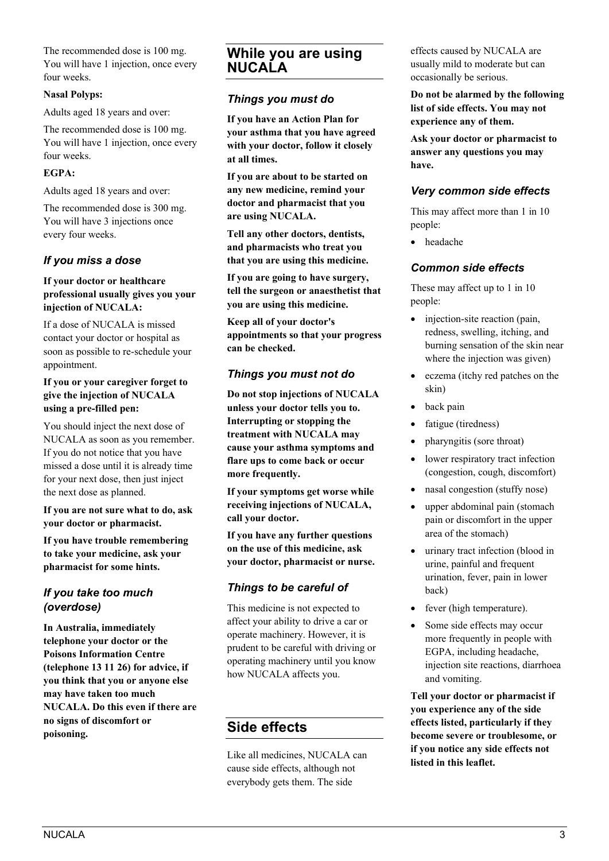The recommended dose is 100 mg. You will have 1 injection, once every four weeks.

#### **Nasal Polyps:**

Adults aged 18 years and over:

The recommended dose is 100 mg. You will have 1 injection, once every four weeks.

#### **EGPA:**

Adults aged 18 years and over:

The recommended dose is 300 mg. You will have 3 injections once every four weeks.

# *If you miss a dose*

### **If your doctor or healthcare professional usually gives you your injection of NUCALA:**

If a dose of NUCALA is missed contact your doctor or hospital as soon as possible to re-schedule your appointment.

#### **If you or your caregiver forget to give the injection of NUCALA using a pre-filled pen:**

You should inject the next dose of NUCALA as soon as you remember. If you do not notice that you have missed a dose until it is already time for your next dose, then just inject the next dose as planned.

**If you are not sure what to do, ask your doctor or pharmacist.**

**If you have trouble remembering to take your medicine, ask your pharmacist for some hints.**

# *If you take too much (overdose)*

**In Australia, immediately telephone your doctor or the Poisons Information Centre (telephone 13 11 26) for advice, if you think that you or anyone else may have taken too much NUCALA. Do this even if there are no signs of discomfort or poisoning.**

# **While you are using NUCALA**

## *Things you must do*

**If you have an Action Plan for your asthma that you have agreed with your doctor, follow it closely at all times.**

**If you are about to be started on any new medicine, remind your doctor and pharmacist that you are using NUCALA.** 

**Tell any other doctors, dentists, and pharmacists who treat you that you are using this medicine.** 

**If you are going to have surgery, tell the surgeon or anaesthetist that you are using this medicine.** 

**Keep all of your doctor's appointments so that your progress can be checked.** 

# *Things you must not do*

**Do not stop injections of NUCALA unless your doctor tells you to. Interrupting or stopping the treatment with NUCALA may cause your asthma symptoms and flare ups to come back or occur more frequently.** 

**If your symptoms get worse while receiving injections of NUCALA, call your doctor.**

**If you have any further questions on the use of this medicine, ask your doctor, pharmacist or nurse.**

# *Things to be careful of*

This medicine is not expected to affect your ability to drive a car or operate machinery. However, it is prudent to be careful with driving or operating machinery until you know how NUCALA affects you.

# **Side effects**

Like all medicines, NUCALA can cause side effects, although not everybody gets them. The side

effects caused by NUCALA are usually mild to moderate but can occasionally be serious.

**Do not be alarmed by the following list of side effects. You may not experience any of them.**

**Ask your doctor or pharmacist to answer any questions you may have.**

# *Very common side effects*

This may affect more than 1 in 10 people:

headache

## *Common side effects*

These may affect up to 1 in 10 people:

- injection-site reaction (pain, redness, swelling, itching, and burning sensation of the skin near where the injection was given)
- eczema (itchy red patches on the skin)
- back pain
- fatigue (tiredness)
- pharyngitis (sore throat)
- lower respiratory tract infection (congestion, cough, discomfort)
- nasal congestion (stuffy nose)
- upper abdominal pain (stomach pain or discomfort in the upper area of the stomach)
- urinary tract infection (blood in urine, painful and frequent urination, fever, pain in lower back)
- fever (high temperature).
- Some side effects may occur more frequently in people with EGPA, including headache, injection site reactions, diarrhoea and vomiting.

**Tell your doctor or pharmacist if you experience any of the side effects listed, particularly if they become severe or troublesome, or if you notice any side effects not listed in this leaflet.**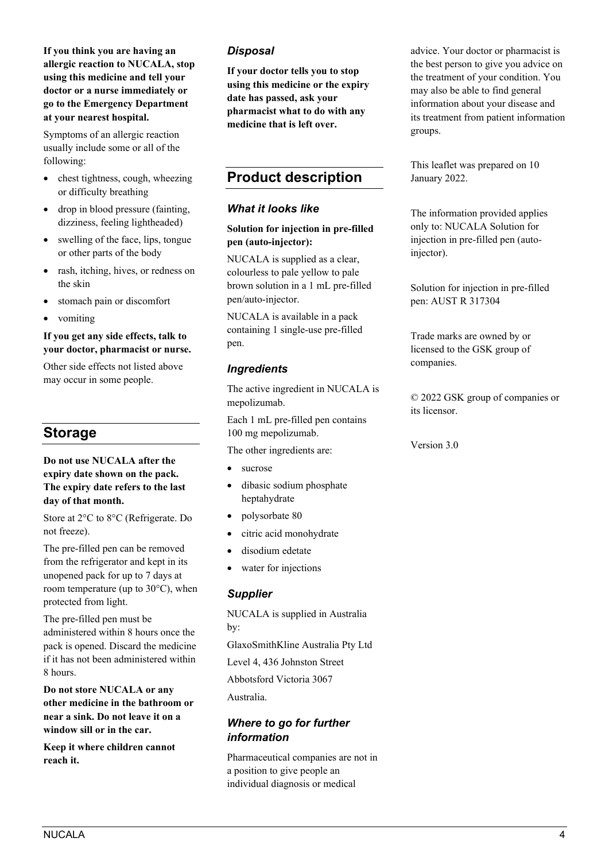## **If you think you are having an allergic reaction to NUCALA, stop using this medicine and tell your doctor or a nurse immediately or go to the Emergency Department at your nearest hospital.**

Symptoms of an allergic reaction usually include some or all of the following:

- $\bullet$  chest tightness, cough, wheezing or difficulty breathing
- drop in blood pressure (fainting, dizziness, feeling lightheaded)
- swelling of the face, lips, tongue or other parts of the body
- rash, itching, hives, or redness on the skin
- stomach pain or discomfort
- vomiting

#### **If you get any side effects, talk to your doctor, pharmacist or nurse.**

Other side effects not listed above may occur in some people.

# **Storage**

#### **Do not use NUCALA after the expiry date shown on the pack. The expiry date refers to the last day of that month.**

Store at 2°C to 8°C (Refrigerate. Do not freeze).

The pre-filled pen can be removed from the refrigerator and kept in its unopened pack for up to 7 days at room temperature (up to 30°C), when protected from light.

The pre-filled pen must be administered within 8 hours once the pack is opened. Discard the medicine if it has not been administered within 8 hours.

**Do not store NUCALA or any other medicine in the bathroom or near a sink. Do not leave it on a window sill or in the car.** 

**Keep it where children cannot reach it.** 

# *Disposal*

**If your doctor tells you to stop using this medicine or the expiry date has passed, ask your pharmacist what to do with any medicine that is left over.** 

# **Product description**

## *What it looks like*

**Solution for injection in pre-filled pen (auto-injector):**

NUCALA is supplied as a clear, colourless to pale yellow to pale brown solution in a 1 mL pre-filled pen/auto-injector.

NUCALA is available in a pack containing 1 single-use pre-filled pen.

# *Ingredients*

The active ingredient in NUCALA is mepolizumab.

Each 1 mL pre-filled pen contains 100 mg mepolizumab.

The other ingredients are:

- sucrose
- dibasic sodium phosphate heptahydrate
- polysorbate 80
- citric acid monohydrate
- disodium edetate
- water for injections

# *Supplier*

NUCALA is supplied in Australia by:

GlaxoSmithKline Australia Pty Ltd

Level 4, 436 Johnston Street

Abbotsford Victoria 3067

Australia.

# *Where to go for further information*

Pharmaceutical companies are not in a position to give people an individual diagnosis or medical

advice. Your doctor or pharmacist is the best person to give you advice on the treatment of your condition. You may also be able to find general information about your disease and its treatment from patient information groups.

This leaflet was prepared on 10 January 2022.

The information provided applies only to: NUCALA Solution for injection in pre-filled pen (autoinjector).

Solution for injection in pre-filled pen: AUST R 317304

Trade marks are owned by or licensed to the GSK group of companies.

© 2022 GSK group of companies or its licensor.

#### Version 3.0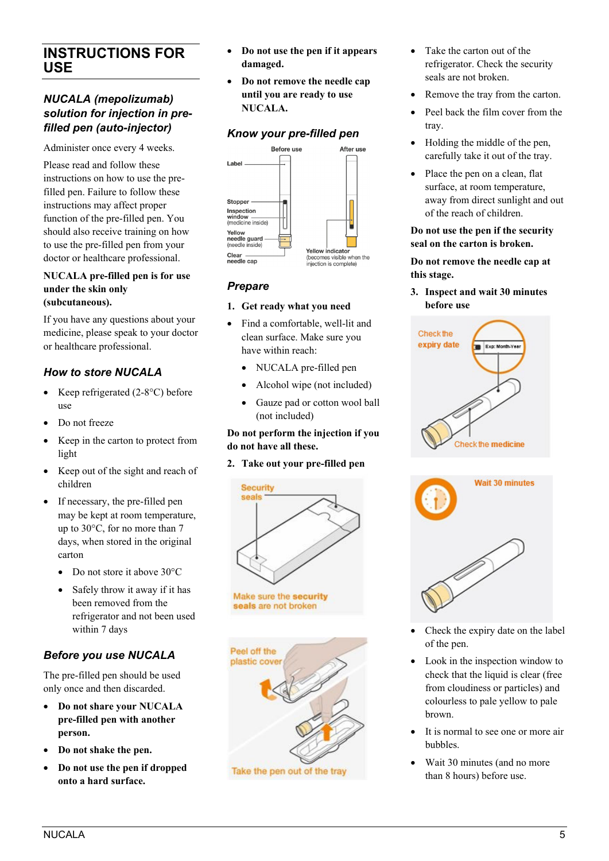# **INSTRUCTIONS FOR USE**

# *NUCALA (mepolizumab) solution for injection in prefilled pen (auto-injector)*

Administer once every 4 weeks.

Please read and follow these instructions on how to use the prefilled pen. Failure to follow these instructions may affect proper function of the pre-filled pen. You should also receive training on how to use the pre-filled pen from your doctor or healthcare professional.

#### **NUCALA pre-filled pen is for use under the skin only (subcutaneous).**

If you have any questions about your medicine, please speak to your doctor or healthcare professional.

# *How to store NUCALA*

- Keep refrigerated  $(2-8°C)$  before use
- Do not freeze
- Keep in the carton to protect from light
- Keep out of the sight and reach of children
- If necessary, the pre-filled pen may be kept at room temperature, up to 30°C, for no more than 7 days, when stored in the original carton
	- Do not store it above 30°C
	- Safely throw it away if it has been removed from the refrigerator and not been used within 7 days

# *Before you use NUCALA*

The pre-filled pen should be used only once and then discarded.

- **Do not share your NUCALA pre-filled pen with another person.**
- **Do not shake the pen.**
- **Do not use the pen if dropped onto a hard surface.**
- **Do not use the pen if it appears damaged.**
- **Do not remove the needle cap until you are ready to use NUCALA.**

# *Know your pre-filled pen*



## *Prepare*

#### **1. Get ready what you need**

- Find a comfortable, well-lit and clean surface. Make sure you have within reach:
	- NUCALA pre-filled pen
	- Alcohol wipe (not included)
	- Gauze pad or cotton wool ball (not included)

#### **Do not perform the injection if you do not have all these.**

## **2. Take out your pre-filled pen**



Make sure the security seals are not broken



- Take the carton out of the refrigerator. Check the security seals are not broken.
- Remove the tray from the carton.
- Peel back the film cover from the tray.
- Holding the middle of the pen, carefully take it out of the tray.
- Place the pen on a clean, flat surface, at room temperature, away from direct sunlight and out of the reach of children.

### **Do not use the pen if the security seal on the carton is broken.**

#### **Do not remove the needle cap at this stage.**

**3. Inspect and wait 30 minutes before use**





- Check the expiry date on the label of the pen.
- Look in the inspection window to check that the liquid is clear (free from cloudiness or particles) and colourless to pale yellow to pale brown.
- It is normal to see one or more air bubbles.
- Wait 30 minutes (and no more than 8 hours) before use.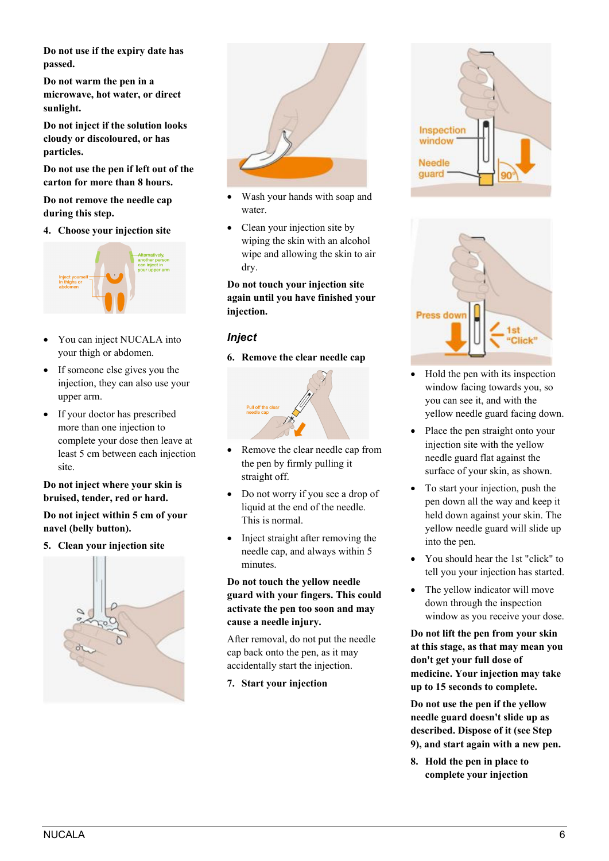**Do not use if the expiry date has passed.**

**Do not warm the pen in a microwave, hot water, or direct sunlight.**

**Do not inject if the solution looks cloudy or discoloured, or has particles.**

**Do not use the pen if left out of the carton for more than 8 hours.**

**Do not remove the needle cap during this step.**

**4. Choose your injection site**



- You can inject NUCALA into your thigh or abdomen.
- If someone else gives you the injection, they can also use your upper arm.
- If your doctor has prescribed more than one injection to complete your dose then leave at least 5 cm between each injection site.

## **Do not inject where your skin is bruised, tender, red or hard.**

**Do not inject within 5 cm of your navel (belly button).**

**5. Clean your injection site**





- Wash your hands with soap and water.
- Clean your injection site by wiping the skin with an alcohol wipe and allowing the skin to air dry.

**Do not touch your injection site again until you have finished your injection.**

## *Inject*

**6. Remove the clear needle cap**



- Remove the clear needle cap from the pen by firmly pulling it straight off.
- Do not worry if you see a drop of liquid at the end of the needle. This is normal.
- Inject straight after removing the needle cap, and always within 5 minutes.

**Do not touch the yellow needle guard with your fingers. This could activate the pen too soon and may cause a needle injury.**

After removal, do not put the needle cap back onto the pen, as it may accidentally start the injection.

**7. Start your injection**





- Hold the pen with its inspection window facing towards you, so you can see it, and with the yellow needle guard facing down.
- Place the pen straight onto your injection site with the yellow needle guard flat against the surface of your skin, as shown.
- To start your injection, push the pen down all the way and keep it held down against your skin. The yellow needle guard will slide up into the pen.
- You should hear the 1st "click" to tell you your injection has started.
- The yellow indicator will move down through the inspection window as you receive your dose.

**Do not lift the pen from your skin at this stage, as that may mean you don't get your full dose of medicine. Your injection may take up to 15 seconds to complete.**

**Do not use the pen if the yellow needle guard doesn't slide up as described. Dispose of it (see Step 9), and start again with a new pen.**

**8. Hold the pen in place to complete your injection**